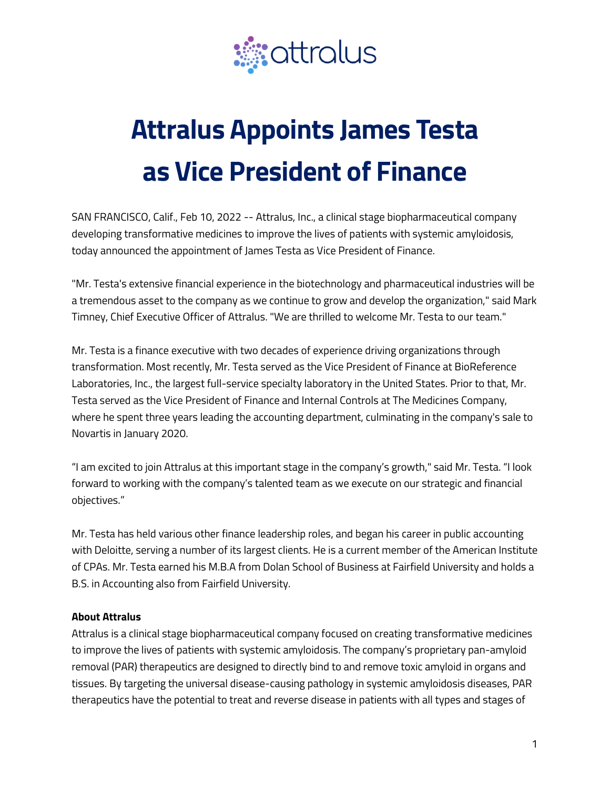

## **Attralus Appoints James Testa as Vice President of Finance**

SAN FRANCISCO, Calif., Feb 10, 2022 -- Attralus, Inc., a clinical stage biopharmaceutical company developing transformative medicines to improve the lives of patients with systemic amyloidosis, today announced the appointment of James Testa as Vice President of Finance.

"Mr. Testa's extensive financial experience in the biotechnology and pharmaceutical industries will be a tremendous asset to the company as we continue to grow and develop the organization," said Mark Timney, Chief Executive Officer of Attralus. "We are thrilled to welcome Mr. Testa to our team."

Mr. Testa is a finance executive with two decades of experience driving organizations through transformation. Most recently, Mr. Testa served as the Vice President of Finance at BioReference Laboratories, Inc., the largest full-service specialty laboratory in the United States. Prior to that, Mr. Testa served as the Vice President of Finance and Internal Controls at The Medicines Company, where he spent three years leading the accounting department, culminating in the company's sale to Novartis in January 2020.

"I am excited to join Attralus at this important stage in the company's growth," said Mr. Testa. "I look forward to working with the company's talented team as we execute on our strategic and financial objectives."

Mr. Testa has held various other finance leadership roles, and began his career in public accounting with Deloitte, serving a number of its largest clients. He is a current member of the American Institute of CPAs. Mr. Testa earned his M.B.A from Dolan School of Business at Fairfield University and holds a B.S. in Accounting also from Fairfield University.

## **About Attralus**

Attralus is a clinical stage biopharmaceutical company focused on creating transformative medicines to improve the lives of patients with systemic amyloidosis. The company's proprietary pan-amyloid removal (PAR) therapeutics are designed to directly bind to and remove toxic amyloid in organs and tissues. By targeting the universal disease-causing pathology in systemic amyloidosis diseases, PAR therapeutics have the potential to treat and reverse disease in patients with all types and stages of